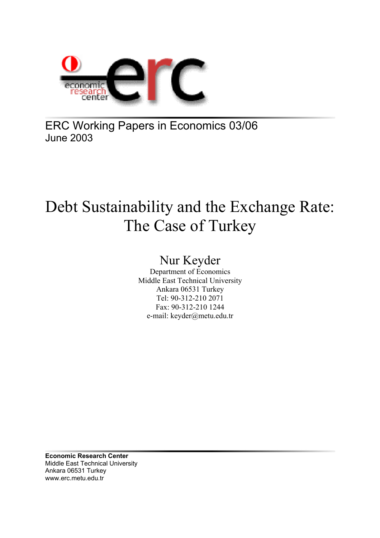

ERC Working Papers in Economics 03/06 June 2003

# Debt Sustainability and the Exchange Rate: The Case of Turkey

## Nur Keyder

Department of Economics Middle East Technical University Ankara 06531 Turkey Tel: 90-312-210 2071 Fax: 90-312-210 1244 e-mail: keyder@metu.edu.tr

**Economic Research Center**  Middle East Technical University Ankara 06531 Turkey www.erc.metu.edu.tr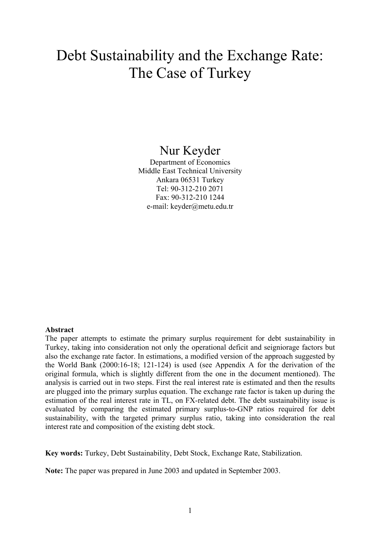## Debt Sustainability and the Exchange Rate: The Case of Turkey

## Nur Keyder

Department of Economics Middle East Technical University Ankara 06531 Turkey Tel: 90-312-210 2071 Fax: 90-312-210 1244 e-mail: keyder@metu.edu.tr

#### **Abstract**

The paper attempts to estimate the primary surplus requirement for debt sustainability in Turkey, taking into consideration not only the operational deficit and seigniorage factors but also the exchange rate factor. In estimations, a modified version of the approach suggested by the World Bank (2000:16-18; 121-124) is used (see Appendix A for the derivation of the original formula, which is slightly different from the one in the document mentioned). The analysis is carried out in two steps. First the real interest rate is estimated and then the results are plugged into the primary surplus equation. The exchange rate factor is taken up during the estimation of the real interest rate in TL, on FX-related debt. The debt sustainability issue is evaluated by comparing the estimated primary surplus-to-GNP ratios required for debt sustainability, with the targeted primary surplus ratio, taking into consideration the real interest rate and composition of the existing debt stock.

**Key words:** Turkey, Debt Sustainability, Debt Stock, Exchange Rate, Stabilization.

**Note:** The paper was prepared in June 2003 and updated in September 2003.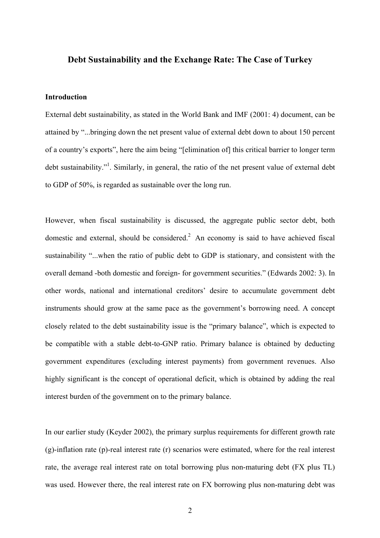#### **Debt Sustainability and the Exchange Rate: The Case of Turkey**

#### **Introduction**

External debt sustainability, as stated in the World Bank and IMF (2001: 4) document, can be attained by "...bringing down the net present value of external debt down to about 150 percent of a country's exports", here the aim being "[elimination of] this critical barrier to longer term debt sustainability."<sup>1</sup>. Similarly, in general, the ratio of the net present value of external debt to GDP of 50%, is regarded as sustainable over the long run.

However, when fiscal sustainability is discussed, the aggregate public sector debt, both domestic and external, should be considered.<sup>2</sup> An economy is said to have achieved fiscal sustainability "...when the ratio of public debt to GDP is stationary, and consistent with the overall demand -both domestic and foreign- for government securities." (Edwards 2002: 3). In other words, national and international creditors' desire to accumulate government debt instruments should grow at the same pace as the government's borrowing need. A concept closely related to the debt sustainability issue is the "primary balance", which is expected to be compatible with a stable debt-to-GNP ratio. Primary balance is obtained by deducting government expenditures (excluding interest payments) from government revenues. Also highly significant is the concept of operational deficit, which is obtained by adding the real interest burden of the government on to the primary balance.

In our earlier study (Keyder 2002), the primary surplus requirements for different growth rate (g)-inflation rate (p)-real interest rate (r) scenarios were estimated, where for the real interest rate, the average real interest rate on total borrowing plus non-maturing debt (FX plus TL) was used. However there, the real interest rate on FX borrowing plus non-maturing debt was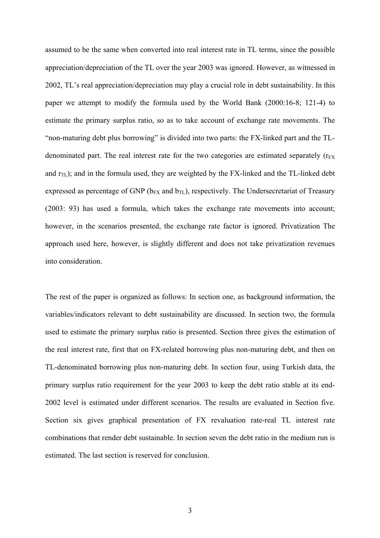assumed to be the same when converted into real interest rate in TL terms, since the possible appreciation/depreciation of the TL over the year 2003 was ignored. However, as witnessed in 2002, TL's real appreciation/depreciation may play a crucial role in debt sustainability. In this paper we attempt to modify the formula used by the World Bank (2000:16-8; 121-4) to estimate the primary surplus ratio, so as to take account of exchange rate movements. The "non-maturing debt plus borrowing" is divided into two parts: the FX-linked part and the TLdenominated part. The real interest rate for the two categories are estimated separately  $(r_{FX}$ and  $r<sub>TL</sub>$ ); and in the formula used, they are weighted by the FX-linked and the TL-linked debt expressed as percentage of GNP ( $b_{FX}$  and  $b_{TL}$ ), respectively. The Undersecretariat of Treasury (2003: 93) has used a formula, which takes the exchange rate movements into account; however, in the scenarios presented, the exchange rate factor is ignored. Privatization The approach used here, however, is slightly different and does not take privatization revenues into consideration.

The rest of the paper is organized as follows: In section one, as background information, the variables/indicators relevant to debt sustainability are discussed. In section two, the formula used to estimate the primary surplus ratio is presented. Section three gives the estimation of the real interest rate, first that on FX-related borrowing plus non-maturing debt, and then on TL-denominated borrowing plus non-maturing debt. In section four, using Turkish data, the primary surplus ratio requirement for the year 2003 to keep the debt ratio stable at its end-2002 level is estimated under different scenarios. The results are evaluated in Section five. Section six gives graphical presentation of FX revaluation rate-real TL interest rate combinations that render debt sustainable. In section seven the debt ratio in the medium run is estimated. The last section is reserved for conclusion.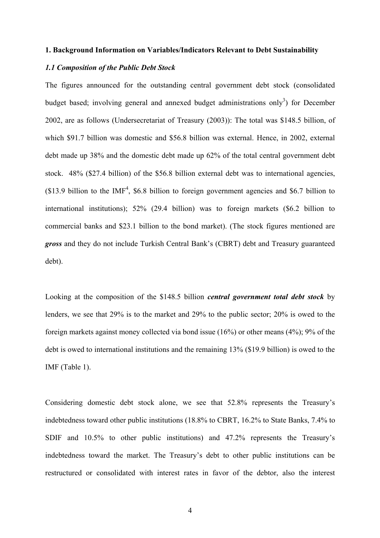#### **1. Background Information on Variables/Indicators Relevant to Debt Sustainability**

#### *1.1 Composition of the Public Debt Stock*

The figures announced for the outstanding central government debt stock (consolidated budget based; involving general and annexed budget administrations only<sup>3</sup>) for December 2002, are as follows (Undersecretariat of Treasury (2003)): The total was \$148.5 billion, of which \$91.7 billion was domestic and \$56.8 billion was external. Hence, in 2002, external debt made up 38% and the domestic debt made up 62% of the total central government debt stock. 48% (\$27.4 billion) of the \$56.8 billion external debt was to international agencies,  $($13.9$ billion to the IMF<sup>4</sup>, $6.8 billion to foreign government agencies and $6.7 billion to$ international institutions); 52% (29.4 billion) was to foreign markets (\$6.2 billion to commercial banks and \$23.1 billion to the bond market). (The stock figures mentioned are *gross* and they do not include Turkish Central Bank's (CBRT) debt and Treasury guaranteed debt).

Looking at the composition of the \$148.5 billion *central government total debt stock* by lenders, we see that 29% is to the market and 29% to the public sector; 20% is owed to the foreign markets against money collected via bond issue (16%) or other means (4%); 9% of the debt is owed to international institutions and the remaining 13% (\$19.9 billion) is owed to the IMF (Table 1).

Considering domestic debt stock alone, we see that 52.8% represents the Treasury's indebtedness toward other public institutions (18.8% to CBRT, 16.2% to State Banks, 7.4% to SDIF and 10.5% to other public institutions) and 47.2% represents the Treasury's indebtedness toward the market. The Treasury's debt to other public institutions can be restructured or consolidated with interest rates in favor of the debtor, also the interest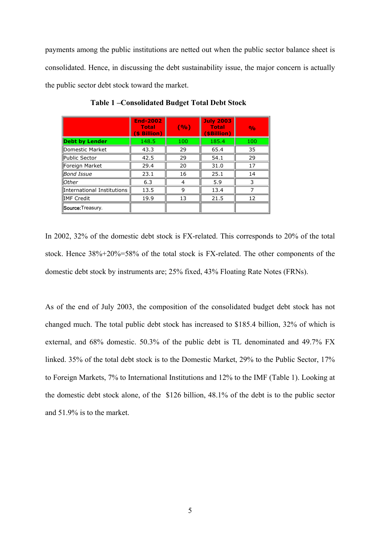payments among the public institutions are netted out when the public sector balance sheet is consolidated. Hence, in discussing the debt sustainability issue, the major concern is actually the public sector debt stock toward the market.

|                            | <b>End-2002</b><br>Total<br>(\$ Billion) | (%) | <b>July 2003</b><br><b>Total</b><br>(\$Billion) | $\frac{1}{2}$ |
|----------------------------|------------------------------------------|-----|-------------------------------------------------|---------------|
| <b>Debt by Lender</b>      | 148.5                                    | 100 | 185.4                                           | 100           |
| Domestic Market            | 43.3                                     | 29  | 65.4                                            | 35            |
| Public Sector              | 42.5                                     | 29  | 54.1                                            | 29            |
| Foreign Market             | 29.4                                     | 20  | 31.0                                            | 17            |
| Bond Issue                 | 23.1                                     | 16  | 25.1                                            | 14            |
| <b>Other</b>               | 6.3                                      | 4   | 5.9                                             | 3             |
| International Institutions | 13.5                                     | 9   | 13.4                                            |               |
| ∥IMF Credit                | 19.9                                     | 13  | 21.5                                            | 12            |
| Source: Treasury.          |                                          |     |                                                 |               |

**Table 1 –Consolidated Budget Total Debt Stock**

In 2002, 32% of the domestic debt stock is FX-related. This corresponds to 20% of the total stock. Hence 38%+20%=58% of the total stock is FX-related. The other components of the domestic debt stock by instruments are; 25% fixed, 43% Floating Rate Notes (FRNs).

As of the end of July 2003, the composition of the consolidated budget debt stock has not changed much. The total public debt stock has increased to \$185.4 billion, 32% of which is external, and 68% domestic. 50.3% of the public debt is TL denominated and 49.7% FX linked. 35% of the total debt stock is to the Domestic Market, 29% to the Public Sector, 17% to Foreign Markets, 7% to International Institutions and 12% to the IMF (Table 1). Looking at the domestic debt stock alone, of the \$126 billion, 48.1% of the debt is to the public sector and 51.9% is to the market.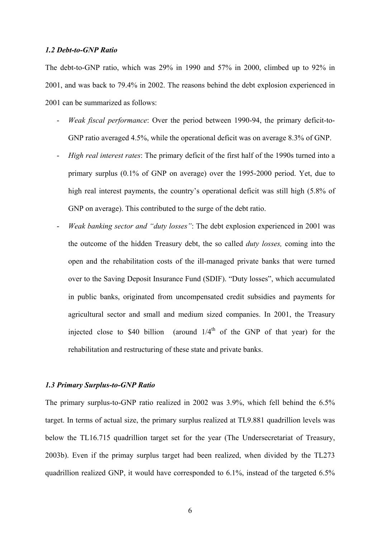#### *1.2 Debt-to-GNP Ratio*

The debt-to-GNP ratio, which was 29% in 1990 and 57% in 2000, climbed up to 92% in 2001, and was back to 79.4% in 2002. The reasons behind the debt explosion experienced in 2001 can be summarized as follows:

- *Weak fiscal performance*: Over the period between 1990-94, the primary deficit-to-GNP ratio averaged 4.5%, while the operational deficit was on average 8.3% of GNP.
- *High real interest rates*: The primary deficit of the first half of the 1990s turned into a primary surplus (0.1% of GNP on average) over the 1995-2000 period. Yet, due to high real interest payments, the country's operational deficit was still high (5.8% of GNP on average). This contributed to the surge of the debt ratio.
- *Weak banking sector and "duty losses"*: The debt explosion experienced in 2001 was the outcome of the hidden Treasury debt, the so called *duty losses,* coming into the open and the rehabilitation costs of the ill-managed private banks that were turned over to the Saving Deposit Insurance Fund (SDIF). "Duty losses", which accumulated in public banks, originated from uncompensated credit subsidies and payments for agricultural sector and small and medium sized companies. In 2001, the Treasury injected close to \$40 billion (around  $1/4<sup>th</sup>$  of the GNP of that year) for the rehabilitation and restructuring of these state and private banks.

#### *1.3 Primary Surplus-to-GNP Ratio*

The primary surplus-to-GNP ratio realized in 2002 was 3.9%, which fell behind the 6.5% target. In terms of actual size, the primary surplus realized at TL9.881 quadrillion levels was below the TL16.715 quadrillion target set for the year (The Undersecretariat of Treasury, 2003b). Even if the primay surplus target had been realized, when divided by the TL273 quadrillion realized GNP, it would have corresponded to 6.1%, instead of the targeted 6.5%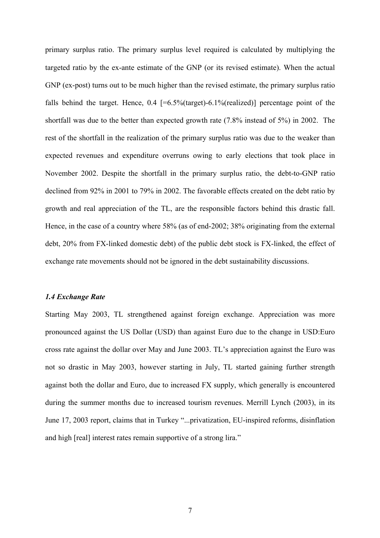primary surplus ratio. The primary surplus level required is calculated by multiplying the targeted ratio by the ex-ante estimate of the GNP (or its revised estimate). When the actual GNP (ex-post) turns out to be much higher than the revised estimate, the primary surplus ratio falls behind the target. Hence,  $0.4$  [=6.5%(target)-6.1%(realized)] percentage point of the shortfall was due to the better than expected growth rate (7.8% instead of 5%) in 2002. The rest of the shortfall in the realization of the primary surplus ratio was due to the weaker than expected revenues and expenditure overruns owing to early elections that took place in November 2002. Despite the shortfall in the primary surplus ratio, the debt-to-GNP ratio declined from 92% in 2001 to 79% in 2002. The favorable effects created on the debt ratio by growth and real appreciation of the TL, are the responsible factors behind this drastic fall. Hence, in the case of a country where 58% (as of end-2002; 38% originating from the external debt, 20% from FX-linked domestic debt) of the public debt stock is FX-linked, the effect of exchange rate movements should not be ignored in the debt sustainability discussions.

#### *1.4 Exchange Rate*

Starting May 2003, TL strengthened against foreign exchange. Appreciation was more pronounced against the US Dollar (USD) than against Euro due to the change in USD:Euro cross rate against the dollar over May and June 2003. TL's appreciation against the Euro was not so drastic in May 2003, however starting in July, TL started gaining further strength against both the dollar and Euro, due to increased FX supply, which generally is encountered during the summer months due to increased tourism revenues. Merrill Lynch (2003), in its June 17, 2003 report, claims that in Turkey "...privatization, EU-inspired reforms, disinflation and high [real] interest rates remain supportive of a strong lira."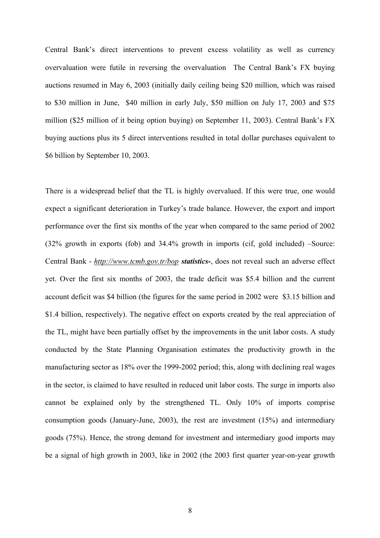Central Bank's direct interventions to prevent excess volatility as well as currency overvaluation were futile in reversing the overvaluation The Central Bank's FX buying auctions resumed in May 6, 2003 (initially daily ceiling being \$20 million, which was raised to \$30 million in June, \$40 million in early July, \$50 million on July 17, 2003 and \$75 million (\$25 million of it being option buying) on September 11, 2003). Central Bank's FX buying auctions plus its 5 direct interventions resulted in total dollar purchases equivalent to \$6 billion by September 10, 2003.

There is a widespread belief that the TL is highly overvalued. If this were true, one would expect a significant deterioration in Turkey's trade balance. However, the export and import performance over the first six months of the year when compared to the same period of 2002 (32% growth in exports (fob) and 34.4% growth in imports (cif, gold included) –Source: Central Bank - *<http://www.tcmb.gov.tr/bop> statistics-*, does not reveal such an adverse effect yet. Over the first six months of 2003, the trade deficit was \$5.4 billion and the current account deficit was \$4 billion (the figures for the same period in 2002 were \$3.15 billion and \$1.4 billion, respectively). The negative effect on exports created by the real appreciation of the TL, might have been partially offset by the improvements in the unit labor costs. A study conducted by the State Planning Organisation estimates the productivity growth in the manufacturing sector as 18% over the 1999-2002 period; this, along with declining real wages in the sector, is claimed to have resulted in reduced unit labor costs. The surge in imports also cannot be explained only by the strengthened TL. Only 10% of imports comprise consumption goods (January-June, 2003), the rest are investment (15%) and intermediary goods (75%). Hence, the strong demand for investment and intermediary good imports may be a signal of high growth in 2003, like in 2002 (the 2003 first quarter year-on-year growth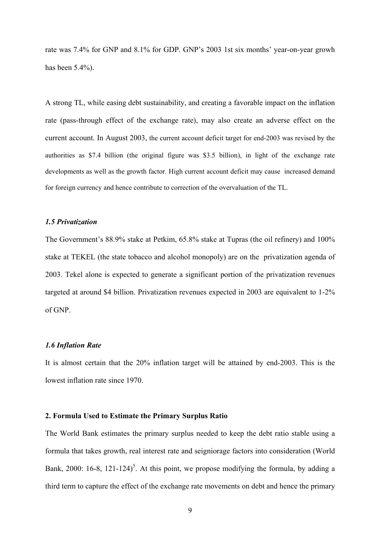rate was 7.4% for GNP and 8.1% for GDP. GNP's 2003 1st six months' year-on-year growh has been 5.4%).

A strong TL, while easing debt sustainability, and creating a favorable impact on the inflation rate (pass-through effect of the exchange rate), may also create an adverse effect on the current account. In August 2003, the current account deficit target for end-2003 was revised by the authorities as \$7.4 billion (the original figure was \$3.5 billion), in light of the exchange rate developments as well as the growth factor. High current account deficit may cause increased demand for foreign currency and hence contribute to correction of the overvaluation of the TL.

#### *1.5 Privatization*

The Government's 88.9% stake at Petkim, 65.8% stake at Tupras (the oil refinery) and 100% stake at TEKEL (the state tobacco and alcohol monopoly) are on the privatization agenda of 2003. Tekel alone is expected to generate a significant portion of the privatization revenues targeted at around \$4 billion. Privatization revenues expected in 2003 are equivalent to 1-2% of GNP.

#### *1.6 Inflation Rate*

It is almost certain that the 20% inflation target will be attained by end-2003. This is the lowest inflation rate since 1970.

#### **2. Formula Used to Estimate the Primary Surplus Ratio**

The World Bank estimates the primary surplus needed to keep the debt ratio stable using a formula that takes growth, real interest rate and seigniorage factors into consideration (World Bank, 2000: 16-8, 121-124)<sup>5</sup>. At this point, we propose modifying the formula, by adding a third term to capture the effect of the exchange rate movements on debt and hence the primary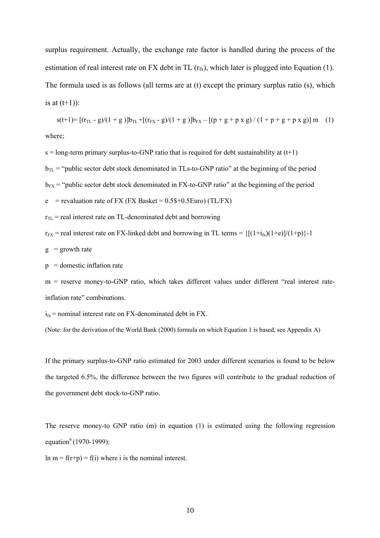surplus requirement. Actually, the exchange rate factor is handled during the process of the estimation of real interest rate on FX debt in TL  $(r<sub>fx</sub>)$ , which later is plugged into Equation (1). The formula used is as follows (all terms are at (t) except the primary surplus ratio (s), which is at  $(t+1)$ :

 $s(t+1) = [(r_{TL} - g)/(1 + g)]b_{TL} + [(r_{FX} - g)/(1 + g)]b_{FX} - [(p + g + p x g)/(1 + p + g + p x g)]$  m (1) where;

 $s =$ long-term primary surplus-to-GNP ratio that is required for debt sustainability at  $(t+1)$ 

 $b_{TL}$  = "public sector debt stock denominated in TLs-to-GNP ratio" at the beginning of the period

 $b_{FX}$  = "public sector debt stock denominated in FX-to-GNP ratio" at the beginning of the period

 $e$  = revaluation rate of FX (FX Basket = 0.5\$+0.5Euro) (TL/FX)

 $r_{TL}$  = real interest rate on TL-denominated debt and borrowing

 $r_{FX}$  = real interest rate on FX-linked debt and borrowing in TL terms =  $\{[(1+i_{fx})(1+e)]/(1+p)\}-1$ 

 $g =$  growth rate

 $p =$ domestic inflation rate

m = reserve money-to-GNP ratio, which takes different values under different "real interest rateinflation rate" combinations.

 $i_{fx}$  = nominal interest rate on FX-denominated debt in FX.

(Note: for the derivation of the World Bank (2000) formula on which Equation 1 is based, see Appendix A)

If the primary surplus-to-GNP ratio estimated for 2003 under different scenarios is found to be below the targeted 6.5%, the difference between the two figures will contribute to the gradual reduction of the government debt stock-to-GNP ratio.

The reserve money-to GNP ratio (m) in equation (1) is estimated using the following regression equation<sup>6</sup> (1970-1999):

 $\ln m = f(r+p) = f(i)$  where i is the nominal interest.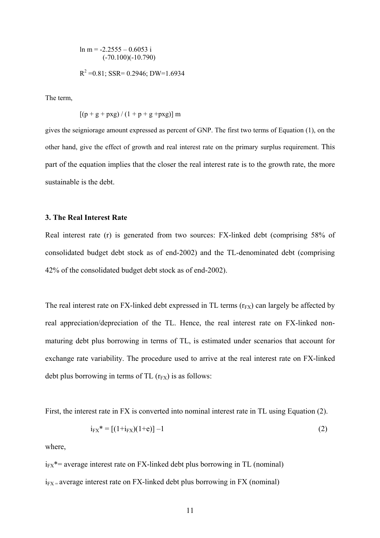$$
\ln m = -2.2555 - 0.6053 \text{ i}
$$
  
(-70.100)(-10.790)  

$$
R^2 = 0.81; \text{ SSR} = 0.2946; \text{DW} = 1.6934
$$

The term,

$$
[(p + g + pxg) / (1 + p + g + pxg)]
$$
 m

gives the seigniorage amount expressed as percent of GNP. The first two terms of Equation (1), on the other hand, give the effect of growth and real interest rate on the primary surplus requirement. This part of the equation implies that the closer the real interest rate is to the growth rate, the more sustainable is the debt.

#### **3. The Real Interest Rate**

Real interest rate (r) is generated from two sources: FX-linked debt (comprising 58% of consolidated budget debt stock as of end-2002) and the TL-denominated debt (comprising 42% of the consolidated budget debt stock as of end-2002).

The real interest rate on FX-linked debt expressed in TL terms  $(r_{FX})$  can largely be affected by real appreciation/depreciation of the TL. Hence, the real interest rate on FX-linked nonmaturing debt plus borrowing in terms of TL, is estimated under scenarios that account for exchange rate variability. The procedure used to arrive at the real interest rate on FX-linked debt plus borrowing in terms of TL  $(r_{FX})$  is as follows:

First, the interest rate in FX is converted into nominal interest rate in TL using Equation (2).

$$
i_{FX}^* = [(1+i_{FX})(1+e)] - 1 \tag{2}
$$

where,

 $i_{FX}$ <sup>\*</sup>= average interest rate on FX-linked debt plus borrowing in TL (nominal)

 $i_{FX}$  = average interest rate on FX-linked debt plus borrowing in FX (nominal)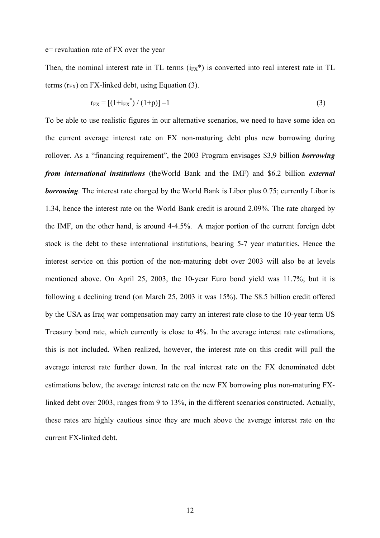#### e= revaluation rate of FX over the year

Then, the nominal interest rate in TL terms  $(i_{FX}^*)$  is converted into real interest rate in TL terms  $(r_{FX})$  on FX-linked debt, using Equation (3).

$$
r_{FX} = [(1+i_{FX}^*)/(1+p)] - 1
$$
 (3)

To be able to use realistic figures in our alternative scenarios, we need to have some idea on the current average interest rate on FX non-maturing debt plus new borrowing during rollover. As a "financing requirement", the 2003 Program envisages \$3,9 billion *borrowing from international institutions* (theWorld Bank and the IMF) and \$6.2 billion *external borrowing*. The interest rate charged by the World Bank is Libor plus 0.75; currently Libor is 1.34, hence the interest rate on the World Bank credit is around 2.09%. The rate charged by the IMF, on the other hand, is around 4-4.5%. A major portion of the current foreign debt stock is the debt to these international institutions, bearing 5-7 year maturities. Hence the interest service on this portion of the non-maturing debt over 2003 will also be at levels mentioned above. On April 25, 2003, the 10-year Euro bond yield was 11.7%; but it is following a declining trend (on March 25, 2003 it was 15%). The \$8.5 billion credit offered by the USA as Iraq war compensation may carry an interest rate close to the 10-year term US Treasury bond rate, which currently is close to 4%. In the average interest rate estimations, this is not included. When realized, however, the interest rate on this credit will pull the average interest rate further down. In the real interest rate on the FX denominated debt estimations below, the average interest rate on the new FX borrowing plus non-maturing FXlinked debt over 2003, ranges from 9 to 13%, in the different scenarios constructed. Actually, these rates are highly cautious since they are much above the average interest rate on the current FX-linked debt.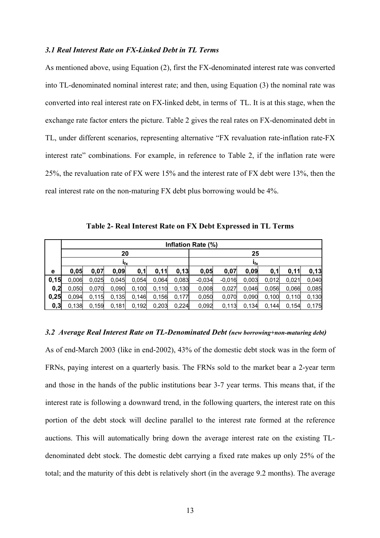#### *3.1 Real Interest Rate on FX-Linked Debt in TL Terms*

As mentioned above, using Equation (2), first the FX-denominated interest rate was converted into TL-denominated nominal interest rate; and then, using Equation (3) the nominal rate was converted into real interest rate on FX-linked debt, in terms of TL. It is at this stage, when the exchange rate factor enters the picture. Table 2 gives the real rates on FX-denominated debt in TL, under different scenarios, representing alternative "FX revaluation rate-inflation rate-FX interest rate" combinations. For example, in reference to Table 2, if the inflation rate were 25%, the revaluation rate of FX were 15% and the interest rate of FX debt were 13%, then the real interest rate on the non-maturing FX debt plus borrowing would be 4%.

**Table 2- Real Interest Rate on FX Debt Expressed in TL Terms** 

|       | Inflation Rate (%) |       |       |       |       |                 |          |          |       |       |       |       |
|-------|--------------------|-------|-------|-------|-------|-----------------|----------|----------|-------|-------|-------|-------|
|       | 20                 |       |       |       |       | 25              |          |          |       |       |       |       |
|       | $I_{\mathsf{fx}}$  |       |       |       |       | $I_{\text{fx}}$ |          |          |       |       |       |       |
| е     | 0.05               | 0,07  | 0,09  | 0,1   | 0,11  | 0,13            | 0,05     | 0,07     | 0,09  | 0,1   | 0,11  | 0,13  |
| 0, 15 | 0.006              | 0.025 | 0,045 | 0,054 | 0.064 | 0,083           | $-0.034$ | $-0.016$ | 0,003 | 0,012 | 0,021 | 0,040 |
| 0,2   | 0.050              | 0.070 | 0,090 | 0,100 | 0.110 | 0,130           | 0,008    | 0,027    | 0,046 | 0,056 | 0,066 | 0,085 |
| 0,25  | 0.094              | 0.115 | 0,135 | 0,146 | 0.156 | 0,177           | 0.050    | 0,070    | 0,090 | 0,100 | 0,110 | 0,130 |
| 0, 3  | 0,138              | 0,159 | 0,181 | 0,192 | 0,203 | 0,224           | 0,092    | 0,113    | 0.134 | 0,144 | 0.154 | 0,175 |

#### *3.2 Average Real Interest Rate on TL-Denominated Debt (new borrowing+non-maturing debt)*

As of end-March 2003 (like in end-2002), 43% of the domestic debt stock was in the form of FRNs, paying interest on a quarterly basis. The FRNs sold to the market bear a 2-year term and those in the hands of the public institutions bear 3-7 year terms. This means that, if the interest rate is following a downward trend, in the following quarters, the interest rate on this portion of the debt stock will decline parallel to the interest rate formed at the reference auctions. This will automatically bring down the average interest rate on the existing TLdenominated debt stock. The domestic debt carrying a fixed rate makes up only 25% of the total; and the maturity of this debt is relatively short (in the average 9.2 months). The average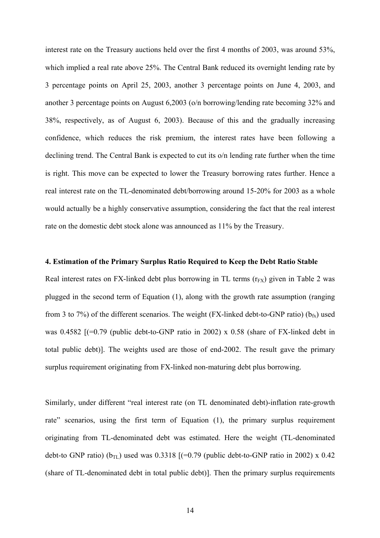interest rate on the Treasury auctions held over the first 4 months of 2003, was around 53%, which implied a real rate above 25%. The Central Bank reduced its overnight lending rate by 3 percentage points on April 25, 2003, another 3 percentage points on June 4, 2003, and another 3 percentage points on August 6,2003 (o/n borrowing/lending rate becoming 32% and 38%, respectively, as of August 6, 2003). Because of this and the gradually increasing confidence, which reduces the risk premium, the interest rates have been following a declining trend. The Central Bank is expected to cut its o/n lending rate further when the time is right. This move can be expected to lower the Treasury borrowing rates further. Hence a real interest rate on the TL-denominated debt/borrowing around 15-20% for 2003 as a whole would actually be a highly conservative assumption, considering the fact that the real interest rate on the domestic debt stock alone was announced as 11% by the Treasury.

#### **4. Estimation of the Primary Surplus Ratio Required to Keep the Debt Ratio Stable**

Real interest rates on FX-linked debt plus borrowing in TL terms  $(r_{FX})$  given in Table 2 was plugged in the second term of Equation (1), along with the growth rate assumption (ranging from 3 to 7%) of the different scenarios. The weight (FX-linked debt-to-GNP ratio) ( $b_{fx}$ ) used was 0.4582  $[(-0.79 \text{ (public debt-to-GNP ratio in 2002) x 0.58 (share of FX-linked debt in$ total public debt)]. The weights used are those of end-2002. The result gave the primary surplus requirement originating from FX-linked non-maturing debt plus borrowing.

Similarly, under different "real interest rate (on TL denominated debt)-inflation rate-growth rate" scenarios, using the first term of Equation (1), the primary surplus requirement originating from TL-denominated debt was estimated. Here the weight (TL-denominated debt-to GNP ratio) ( $b_{\text{TL}}$ ) used was 0.3318 [(=0.79 (public debt-to-GNP ratio in 2002) x 0.42 (share of TL-denominated debt in total public debt)]. Then the primary surplus requirements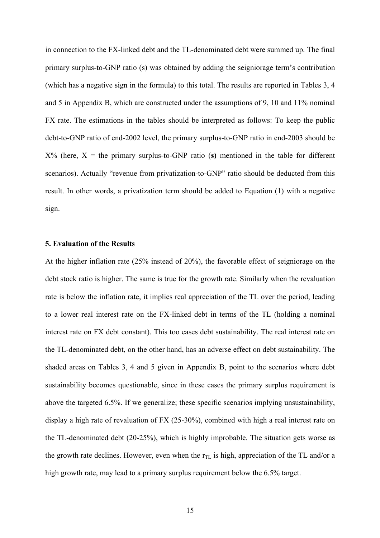in connection to the FX-linked debt and the TL-denominated debt were summed up. The final primary surplus-to-GNP ratio (s) was obtained by adding the seigniorage term's contribution (which has a negative sign in the formula) to this total. The results are reported in Tables 3, 4 and 5 in Appendix B, which are constructed under the assumptions of 9, 10 and 11% nominal FX rate. The estimations in the tables should be interpreted as follows: To keep the public debt-to-GNP ratio of end-2002 level, the primary surplus-to-GNP ratio in end-2003 should be  $X\%$  (here,  $X =$  the primary surplus-to-GNP ratio (s) mentioned in the table for different scenarios). Actually "revenue from privatization-to-GNP" ratio should be deducted from this result. In other words, a privatization term should be added to Equation (1) with a negative sign.

#### **5. Evaluation of the Results**

At the higher inflation rate (25% instead of 20%), the favorable effect of seigniorage on the debt stock ratio is higher. The same is true for the growth rate. Similarly when the revaluation rate is below the inflation rate, it implies real appreciation of the TL over the period, leading to a lower real interest rate on the FX-linked debt in terms of the TL (holding a nominal interest rate on FX debt constant). This too eases debt sustainability. The real interest rate on the TL-denominated debt, on the other hand, has an adverse effect on debt sustainability. The shaded areas on Tables 3, 4 and 5 given in Appendix B, point to the scenarios where debt sustainability becomes questionable, since in these cases the primary surplus requirement is above the targeted 6.5%. If we generalize; these specific scenarios implying unsustainability, display a high rate of revaluation of FX (25-30%), combined with high a real interest rate on the TL-denominated debt (20-25%), which is highly improbable. The situation gets worse as the growth rate declines. However, even when the  $r_{TL}$  is high, appreciation of the TL and/or a high growth rate, may lead to a primary surplus requirement below the 6.5% target.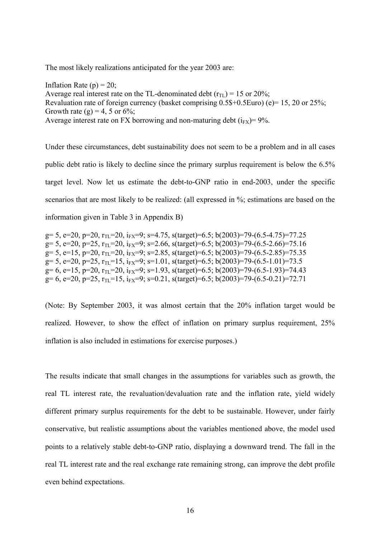The most likely realizations anticipated for the year 2003 are:

Inflation Rate  $(p) = 20$ ; Average real interest rate on the TL-denominated debt  $(r_{\text{TL}}) = 15$  or 20%; Revaluation rate of foreign currency (basket comprising  $0.5$ \$+0.5Euro) (e)= 15, 20 or 25%; Growth rate (g) = 4, 5 or  $6\%$ ; Average interest rate on FX borrowing and non-maturing debt  $(i_{FX}) = 9\%$ .

Under these circumstances, debt sustainability does not seem to be a problem and in all cases public debt ratio is likely to decline since the primary surplus requirement is below the 6.5% target level. Now let us estimate the debt-to-GNP ratio in end-2003, under the specific scenarios that are most likely to be realized: (all expressed in %; estimations are based on the information given in Table 3 in Appendix B)

```
g= 5, e=20, p=20, r<sub>TL</sub>=20, i<sub>FX</sub>=9; s=4.75, s(target)=6.5; b(2003)=79-(6.5-4.75)=77.25
g= 5, e=20, p=25, r_{\text{TL}}=20, i_{\text{FX}}=9; s=2.66, s(target)=6.5; b(2003)=79-(6.5-2.66)=75.16
g= 5, e=15, p=20, r_{T1}=20, i_{FX}=9; s=2.85, s(target)=6.5; b(2003)=79-(6.5-2.85)=75.35
g= 5, e=20, p=25, r<sub>TL</sub>=15, i<sub>FX</sub>=9; s=1.01, s(target)=6.5; b(2003)=79-(6.5-1.01)=73.5
g= 6, e=15, p=20, r_{\text{H}}=20, i_{\text{FX}}=9; s=1.93, s(target)=6.5; b(2003)=79-(6.5-1.93)=74.43
g= 6, e=20, p=25, r_{\text{TI}}=15, i_{\text{FX}}=9; s=0.21, s(target)=6.5; b(2003)=79-(6.5-0.21)=72.71
```
(Note: By September 2003, it was almost certain that the 20% inflation target would be realized. However, to show the effect of inflation on primary surplus requirement, 25% inflation is also included in estimations for exercise purposes.)

The results indicate that small changes in the assumptions for variables such as growth, the real TL interest rate, the revaluation/devaluation rate and the inflation rate, yield widely different primary surplus requirements for the debt to be sustainable. However, under fairly conservative, but realistic assumptions about the variables mentioned above, the model used points to a relatively stable debt-to-GNP ratio, displaying a downward trend. The fall in the real TL interest rate and the real exchange rate remaining strong, can improve the debt profile even behind expectations.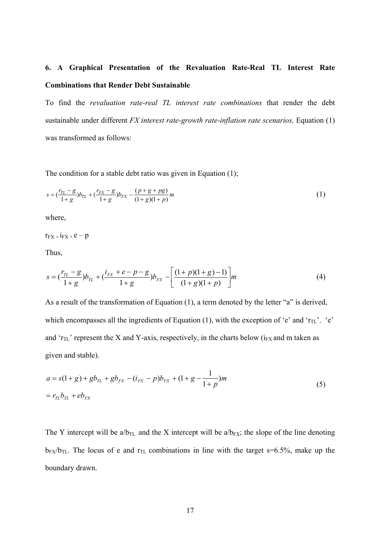## **6. A Graphical Presentation of the Revaluation Rate-Real TL Interest Rate Combinations that Render Debt Sustainable**

To find the *revaluation rate-real TL interest rate combinations* that render the debt sustainable under different *FX interest rate-growth rate-inflation rate scenarios*, Equation (1) was transformed as follows:

The condition for a stable debt ratio was given in Equation (1);

$$
s = \left(\frac{r_{TL} - g}{1 + g}\right)b_{TL} + \left(\frac{r_{FX} - g}{1 + g}\right)b_{FX} - \frac{(p + g + pg)}{(1 + g)(1 + p)}m\tag{1}
$$

where,

 $r_{FX} = i_{FX} + e - p$ 

Thus,

$$
s = \left(\frac{r_{TL} - g}{1 + g}\right)b_{TL} + \left(\frac{i_{FX} + e - p - g}{1 + g}\right)b_{FX} - \left[\frac{(1 + p)(1 + g) - 1}{(1 + g)(1 + p)}\right]m\tag{4}
$$

As a result of the transformation of Equation (1), a term denoted by the letter "a" is derived, which encompasses all the ingredients of Equation (1), with the exception of 'e' and ' $r_{TL}$ '. 'e' and ' $r_{TL}$ ' represent the X and Y-axis, respectively, in the charts below ( $i_{FX}$  and m taken as given and stable).

$$
a = s(1+g) + gb_{TL} + gb_{FX} - (i_{FX} - p)b_{FX} + (1+g - \frac{1}{1+p})m
$$
  
=  $r_{TL}b_{TL} + eb_{FX}$  (5)

The Y intercept will be  $a/b_{TL}$  and the X intercept will be  $a/b_{FX}$ ; the slope of the line denoting  $b_{FX}/b_{TL}$ . The locus of e and  $r_{TL}$  combinations in line with the target s=6.5%, make up the boundary drawn.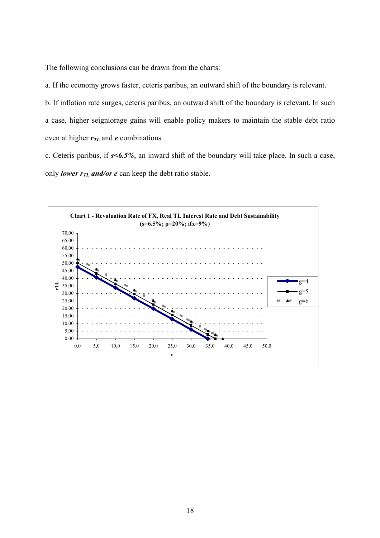The following conclusions can be drawn from the charts:

a. If the economy grows faster, ceteris paribus, an outward shift of the boundary is relevant.

b. If inflation rate surges, ceteris paribus, an outward shift of the boundary is relevant. In such a case, higher seigniorage gains will enable policy makers to maintain the stable debt ratio even at higher  $r_{TL}$  and  $e$  combinations

c. Ceteris paribus, if *s<6.5%*, an inward shift of the boundary will take place. In such a case, only *lower*  $r_{TL}$  and/or *e* can keep the debt ratio stable.

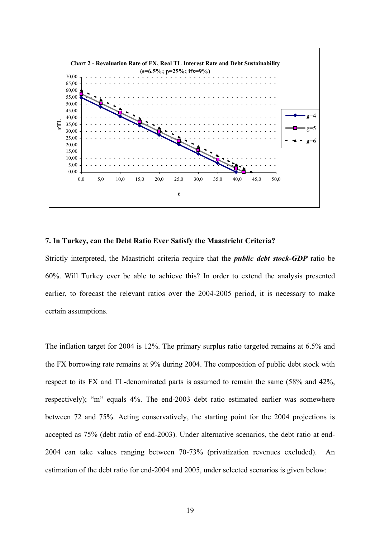

#### **7. In Turkey, can the Debt Ratio Ever Satisfy the Maastricht Criteria?**

Strictly interpreted, the Maastricht criteria require that the *public debt stock-GDP* ratio be 60%. Will Turkey ever be able to achieve this? In order to extend the analysis presented earlier, to forecast the relevant ratios over the 2004-2005 period, it is necessary to make certain assumptions.

The inflation target for 2004 is 12%. The primary surplus ratio targeted remains at 6.5% and the FX borrowing rate remains at 9% during 2004. The composition of public debt stock with respect to its FX and TL-denominated parts is assumed to remain the same (58% and 42%, respectively); "m" equals 4%. The end-2003 debt ratio estimated earlier was somewhere between 72 and 75%. Acting conservatively, the starting point for the 2004 projections is accepted as 75% (debt ratio of end-2003). Under alternative scenarios, the debt ratio at end-2004 can take values ranging between 70-73% (privatization revenues excluded). An estimation of the debt ratio for end-2004 and 2005, under selected scenarios is given below: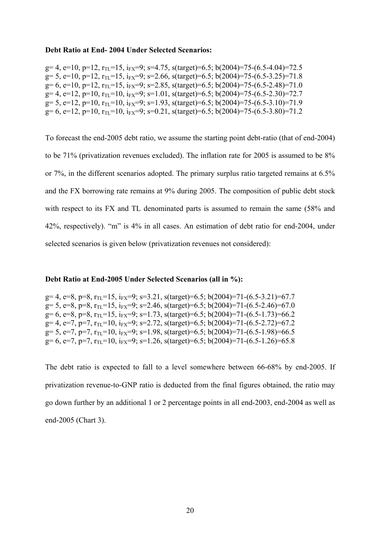#### **Debt Ratio at End- 2004 Under Selected Scenarios:**

g= 4, e=10, p=12,  $r_{\text{H}}$ =15,  $i_{\text{FX}}$ =9; s=4.75, s(target)=6.5; b(2004)=75-(6.5-4.04)=72.5 g= 5, e=10, p=12,  $r_{\text{TL}}$ =15,  $i_{\text{FX}}$ =9; s=2.66, s(target)=6.5; b(2004)=75-(6.5-3.25)=71.8  $g= 6$ , e=10, p=12,  $r_{\text{TL}}=15$ ,  $i_{\text{FX}}=9$ ; s=2.85, s(target)=6.5; b(2004)=75-(6.5-2.48)=71.0  $g= 4$ ,  $e=12$ ,  $p=10$ ,  $r_{\text{TL}}=10$ ,  $i_{\text{FX}}=9$ ;  $s=1.01$ ,  $s(target)=6.5$ ;  $b(2004)=75-(6.5-2.30)=72.7$  $g= 5$ ,  $e=12$ ,  $p=10$ ,  $r_{\text{TL}}=10$ ,  $i_{\text{FX}}=9$ ;  $s=1.93$ ,  $s(target)=6.5$ ;  $b(2004)=75-(6.5-3.10)=71.9$  $g= 6$ , e=12, p=10, r<sub>TL</sub>=10, i<sub>FX</sub>=9; s=0.21, s(target)=6.5; b(2004)=75-(6.5-3.80)=71.2

To forecast the end-2005 debt ratio, we assume the starting point debt-ratio (that of end-2004) to be 71% (privatization revenues excluded). The inflation rate for 2005 is assumed to be 8% or 7%, in the different scenarios adopted. The primary surplus ratio targeted remains at 6.5% and the FX borrowing rate remains at 9% during 2005. The composition of public debt stock with respect to its FX and TL denominated parts is assumed to remain the same (58% and 42%, respectively). "m" is 4% in all cases. An estimation of debt ratio for end-2004, under selected scenarios is given below (privatization revenues not considered):

#### **Debt Ratio at End-2005 Under Selected Scenarios (all in %):**

 $g= 4$ , e=8, p=8, r<sub>TL</sub>=15, i<sub>FX</sub>=9; s=3.21, s(target)=6.5; b(2004)=71-(6.5-3.21)=67.7  $g= 5$ , e=8, p=8, r<sub>TL</sub>=15, i<sub>FX</sub>=9; s=2.46, s(target)=6.5; b(2004)=71-(6.5-2.46)=67.0  $g= 6$ ,  $e=8$ ,  $p=8$ ,  $r_{\text{TI}}=15$ ,  $i_{\text{FX}}=9$ ;  $s=1.73$ ,  $s(target)=6.5$ ;  $b(2004)=71-(6.5-1.73)=66.2$  $g= 4$ , e=7, p=7, r<sub>TL</sub>=10, i<sub>FX</sub>=9; s=2.72, s(target)=6.5; b(2004)=71-(6.5-2.72)=67.2  $g= 5$ ,  $e=7$ ,  $p=7$ ,  $r_{T} = 10$ ,  $i_{FX} = 9$ ;  $s=1.98$ ,  $s(target) = 6.5$ ;  $b(2004) = 71-(6.5-1.98) = 66.5$  $g= 6$ ,  $e=7$ ,  $p=7$ ,  $r_{\text{TI}}=10$ ,  $i_{\text{FX}}=9$ ;  $s=1.26$ ,  $s(target)=6.5$ ;  $b(2004)=71-(6.5-1.26)=65.8$ 

The debt ratio is expected to fall to a level somewhere between 66-68% by end-2005. If privatization revenue-to-GNP ratio is deducted from the final figures obtained, the ratio may go down further by an additional 1 or 2 percentage points in all end-2003, end-2004 as well as end-2005 (Chart 3).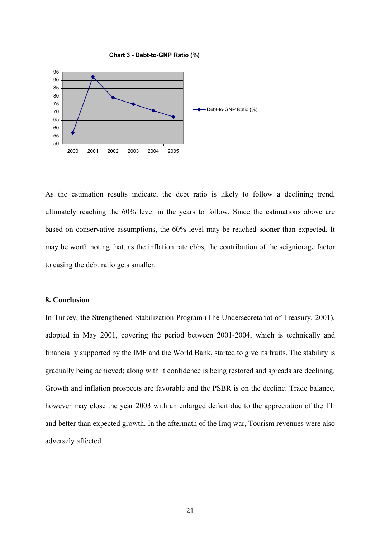

As the estimation results indicate, the debt ratio is likely to follow a declining trend, ultimately reaching the 60% level in the years to follow. Since the estimations above are based on conservative assumptions, the 60% level may be reached sooner than expected. It may be worth noting that, as the inflation rate ebbs, the contribution of the seigniorage factor to easing the debt ratio gets smaller.

#### **8. Conclusion**

In Turkey, the Strengthened Stabilization Program (The Undersecretariat of Treasury, 2001), adopted in May 2001, covering the period between 2001-2004, which is technically and financially supported by the IMF and the World Bank, started to give its fruits. The stability is gradually being achieved; along with it confidence is being restored and spreads are declining. Growth and inflation prospects are favorable and the PSBR is on the decline. Trade balance, however may close the year 2003 with an enlarged deficit due to the appreciation of the TL and better than expected growth. In the aftermath of the Iraq war, Tourism revenues were also adversely affected.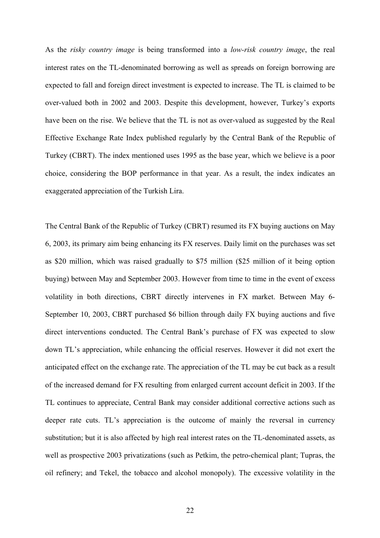As the *risky country image* is being transformed into a *low-risk country image*, the real interest rates on the TL-denominated borrowing as well as spreads on foreign borrowing are expected to fall and foreign direct investment is expected to increase. The TL is claimed to be over-valued both in 2002 and 2003. Despite this development, however, Turkey's exports have been on the rise. We believe that the TL is not as over-valued as suggested by the Real Effective Exchange Rate Index published regularly by the Central Bank of the Republic of Turkey (CBRT). The index mentioned uses 1995 as the base year, which we believe is a poor choice, considering the BOP performance in that year. As a result, the index indicates an exaggerated appreciation of the Turkish Lira.

The Central Bank of the Republic of Turkey (CBRT) resumed its FX buying auctions on May 6, 2003, its primary aim being enhancing its FX reserves. Daily limit on the purchases was set as \$20 million, which was raised gradually to \$75 million (\$25 million of it being option buying) between May and September 2003. However from time to time in the event of excess volatility in both directions, CBRT directly intervenes in FX market. Between May 6- September 10, 2003, CBRT purchased \$6 billion through daily FX buying auctions and five direct interventions conducted. The Central Bank's purchase of FX was expected to slow down TL's appreciation, while enhancing the official reserves. However it did not exert the anticipated effect on the exchange rate. The appreciation of the TL may be cut back as a result of the increased demand for FX resulting from enlarged current account deficit in 2003. If the TL continues to appreciate, Central Bank may consider additional corrective actions such as deeper rate cuts. TL's appreciation is the outcome of mainly the reversal in currency substitution; but it is also affected by high real interest rates on the TL-denominated assets, as well as prospective 2003 privatizations (such as Petkim, the petro-chemical plant; Tupras, the oil refinery; and Tekel, the tobacco and alcohol monopoly). The excessive volatility in the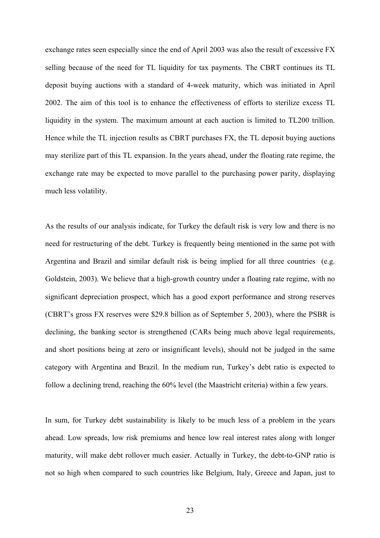exchange rates seen especially since the end of April 2003 was also the result of excessive FX selling because of the need for TL liquidity for tax payments. The CBRT continues its TL deposit buying auctions with a standard of 4-week maturity, which was initiated in April 2002. The aim of this tool is to enhance the effectiveness of efforts to sterilize excess TL liquidity in the system. The maximum amount at each auction is limited to TL200 trillion. Hence while the TL injection results as CBRT purchases FX, the TL deposit buying auctions may sterilize part of this TL expansion. In the years ahead, under the floating rate regime, the exchange rate may be expected to move parallel to the purchasing power parity, displaying much less volatility.

As the results of our analysis indicate, for Turkey the default risk is very low and there is no need for restructuring of the debt. Turkey is frequently being mentioned in the same pot with Argentina and Brazil and similar default risk is being implied for all three countries (e.g. Goldstein, 2003). We believe that a high-growth country under a floating rate regime, with no significant depreciation prospect, which has a good export performance and strong reserves (CBRT's gross FX reserves were \$29.8 billion as of September 5, 2003), where the PSBR is declining, the banking sector is strengthened (CARs being much above legal requirements, and short positions being at zero or insignificant levels), should not be judged in the same category with Argentina and Brazil. In the medium run, Turkey's debt ratio is expected to follow a declining trend, reaching the 60% level (the Maastricht criteria) within a few years.

In sum, for Turkey debt sustainability is likely to be much less of a problem in the years ahead. Low spreads, low risk premiums and hence low real interest rates along with longer maturity, will make debt rollover much easier. Actually in Turkey, the debt-to-GNP ratio is not so high when compared to such countries like Belgium, Italy, Greece and Japan, just to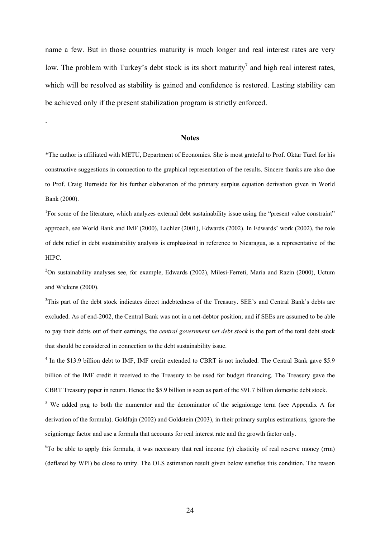name a few. But in those countries maturity is much longer and real interest rates are very low. The problem with Turkey's debt stock is its short maturity<sup>7</sup> and high real interest rates, which will be resolved as stability is gained and confidence is restored. Lasting stability can be achieved only if the present stabilization program is strictly enforced.

#### **Notes**

.

\*The author is affiliated with METU, Department of Economics. She is most grateful to Prof. Oktar Türel for his constructive suggestions in connection to the graphical representation of the results. Sincere thanks are also due to Prof. Craig Burnside for his further elaboration of the primary surplus equation derivation given in World Bank (2000).

<sup>1</sup>For some of the literature, which analyzes external debt sustainability issue using the "present value constraint" approach, see World Bank and IMF (2000), Lachler (2001), Edwards (2002). In Edwards' work (2002), the role of debt relief in debt sustainability analysis is emphasized in reference to Nicaragua, as a representative of the HIPC.

<sup>2</sup>On sustainability analyses see, for example, Edwards (2002), Milesi-Ferreti, Maria and Razin (2000), Uctum and Wickens (2000).

<sup>3</sup>This part of the debt stock indicates direct indebtedness of the Treasury. SEE's and Central Bank's debts are excluded. As of end-2002, the Central Bank was not in a net-debtor position; and if SEEs are assumed to be able to pay their debts out of their earnings, the *central government net debt stock* is the part of the total debt stock that should be considered in connection to the debt sustainability issue.

<sup>4</sup> In the \$13.9 billion debt to IMF, IMF credit extended to CBRT is not included. The Central Bank gave \$5.9 billion of the IMF credit it received to the Treasury to be used for budget financing. The Treasury gave the CBRT Treasury paper in return. Hence the \$5.9 billion is seen as part of the \$91.7 billion domestic debt stock.

<sup>5</sup> We added pxg to both the numerator and the denominator of the seigniorage term (see Appendix A for derivation of the formula). Goldfajn (2002) and Goldstein (2003), in their primary surplus estimations, ignore the seigniorage factor and use a formula that accounts for real interest rate and the growth factor only.

<sup>6</sup>To be able to apply this formula, it was necessary that real income (y) elasticity of real reserve money (rrm) (deflated by WPI) be close to unity. The OLS estimation result given below satisfies this condition. The reason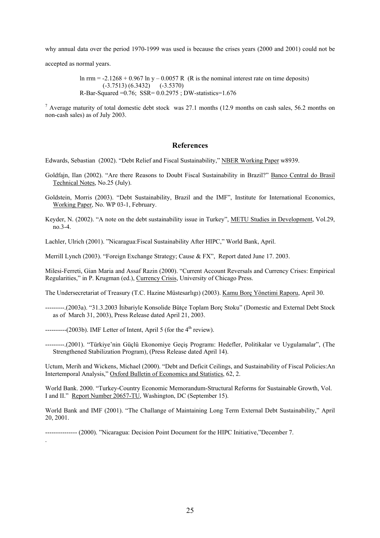why annual data over the period 1970-1999 was used is because the crises years (2000 and 2001) could not be

accepted as normal years.

ln rrm =  $-2.1268 + 0.967$  ln y  $- 0.0057$  R (R is the nominal interest rate on time deposits) (-3.7513) (6.3432) (-3.5370) R-Bar-Squared =0.76; SSR= 0.0.2975 ; DW-statistics=1.676

<sup>7</sup> Average maturity of total domestic debt stock was 27.1 months (12.9 months on cash sales, 56.2 months on non-cash sales) as of July 2003.

#### **References**

Edwards, Sebastian (2002). "Debt Relief and Fiscal Sustainability," NBER Working Paper w8939.

- Goldfajn, Ilan (2002). "Are there Reasons to Doubt Fiscal Sustainability in Brazil?" Banco Central do Brasil Technical Notes, No.25 (July).
- Goldstein, Morris (2003). "Debt Sustainability, Brazil and the IMF", Institute for International Economics, Working Paper, No. WP 03-1, February.
- Keyder, N. (2002). "A note on the debt sustainability issue in Turkey", METU Studies in Development, Vol.29, no.3-4.

Lachler, Ulrich (2001). "Nicaragua:Fiscal Sustainability After HIPC," World Bank, April.

Merrill Lynch (2003). "Foreign Exchange Strategy; Cause & FX", Report dated June 17. 2003.

Milesi-Ferreti, Gian Maria and Assaf Razin (2000). "Current Account Reversals and Currency Crises: Empirical Regularities," in P. Krugman (ed.), Currency Crisis, University of Chicago Press.

The Undersecretariat of Treasury (T.C. Hazine Müstesarlıgı) (2003). Kamu Borç Yönetimi Raporu, April 30.

- ---------.(2003a). "31.3.2003 İtibariyle Konsolide Bütçe Toplam Borç Stoku" (Domestic and External Debt Stock as of March 31, 2003), Press Release dated April 21, 2003.
- $----(2003b)$ . IMF Letter of Intent, April 5 (for the  $4<sup>th</sup>$  review).

.

---------.(2001). "Türkiye'nin Güçlü Ekonomiye Geçiş Programı: Hedefler, Politikalar ve Uygulamalar", (The Strengthened Stabilization Program), (Press Release dated April 14).

Uctum, Merih and Wickens, Michael (2000). "Debt and Deficit Ceilings, and Sustainability of Fiscal Policies:An Intertemporal Analysis," Oxford Bulletin of Economics and Statistics, 62, 2.

World Bank. 2000. "Turkey-Country Economic Memorandum-Structural Reforms for Sustainable Growth, Vol. I and II." Report Number 20657-TU, Washington, DC (September 15).

World Bank and IMF (2001). "The Challange of Maintaining Long Term External Debt Sustainability," April 20, 2001.

--------------- (2000). "Nicaragua: Decision Point Document for the HIPC Initiative,"December 7.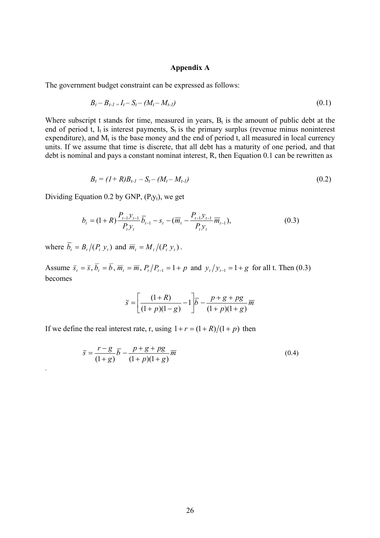#### **Appendix A**

The government budget constraint can be expressed as follows:

$$
B_t - B_{t-1} = I_t - S_t - (M_t - M_{t-1})
$$
\n<sup>(0.1)</sup>

Where subscript t stands for time, measured in years,  $B_t$  is the amount of public debt at the end of period t,  $I_t$  is interest payments,  $S_t$  is the primary surplus (revenue minus noninterest expenditure), and  $M_t$  is the base money and the end of period t, all measured in local currency units. If we assume that time is discrete, that all debt has a maturity of one period, and that debt is nominal and pays a constant nominat interest, R, then Equation 0.1 can be rewritten as

$$
B_t = (1 + R)B_{t-1} - S_t - (M_t - M_{t-1})
$$
\n(0.2)

Dividing Equation 0.2 by GNP,  $(P_t y_t)$ , we get

$$
b_{t} = (1+R)\frac{P_{t-1}y_{t-1}}{P_{t}y_{t}}\overline{b}_{t-1} - s_{t} - (\overline{m}_{t} - \frac{P_{t-1}y_{t-1}}{P_{t}y_{t}}\overline{m}_{t-1}),
$$
(0.3)

where  $\overline{b}_t = B_t / (P_t y_t)$  and  $\overline{m}_t = M_t / (P_t y_t)$ .

.

Assume  $\overline{s}_t = \overline{s}$ ,  $\overline{b}_t = \overline{b}$ ,  $\overline{m}_t = \overline{m}$ ,  $P_t/P_{t-1} = 1 + p$  and  $y_t/y_{t-1} = 1 + g$  for all t. Then (0.3) becomes

$$
\bar{s} = \left[ \frac{(1+R)}{(1+p)(1-g)} - 1 \right] \bar{b} - \frac{p+g+pg}{(1+p)(1+g)} \bar{m}
$$

If we define the real interest rate, r, using  $1 + r = (1 + R)/(1 + p)$  then

$$
\bar{s} = \frac{r - g}{(1 + g)}\bar{b} - \frac{p + g + pg}{(1 + p)(1 + g)}\overline{m}
$$
(0.4)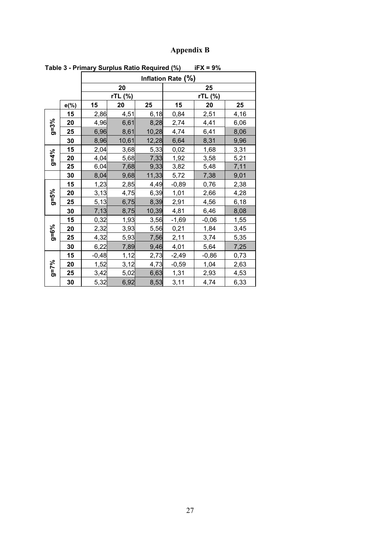### **Appendix B**

| rabic o - i rimary ourplus ratio required (70)<br>$\mathbf{u} \wedge \mathbf{v} = \mathbf{v} \wedge \mathbf{v}$ |      |                    |         |       |         |         |             |  |  |  |  |
|-----------------------------------------------------------------------------------------------------------------|------|--------------------|---------|-------|---------|---------|-------------|--|--|--|--|
|                                                                                                                 |      | Inflation Rate (%) |         |       |         |         |             |  |  |  |  |
|                                                                                                                 |      |                    | 20      | 25    |         |         |             |  |  |  |  |
|                                                                                                                 |      |                    | rTL (%) |       | rTL (%) |         |             |  |  |  |  |
|                                                                                                                 | e(%) | 15                 | 20      | 25    | 15      | 20      | 25          |  |  |  |  |
| $g=3%$                                                                                                          | 15   | 2,86               | 4,51    | 6,18  | 0,84    | 2,51    | 4,16        |  |  |  |  |
|                                                                                                                 | 20   | 4,96               | 6,61    | 8,28  | 2,74    | 4,41    | 6,06        |  |  |  |  |
|                                                                                                                 | 25   | 6,96               | 8,61    | 10,28 | 4,74    | 6,41    | 8,06        |  |  |  |  |
|                                                                                                                 | 30   | 8,96               | 10,61   | 12,28 | 6,64    | 8,31    | 9,96        |  |  |  |  |
|                                                                                                                 | 15   | 2,04               | 3,68    | 5,33  | 0,02    | 1,68    | 3,31        |  |  |  |  |
| $9 = 4\%$                                                                                                       | 20   | 4,04               | 5,68    | 7,33  | 1,92    | 3,58    | 5,21        |  |  |  |  |
|                                                                                                                 | 25   | 6,04               | 7,68    | 9,33  | 3,82    | 5,48    | 7,11        |  |  |  |  |
|                                                                                                                 | 30   | 8,04               | 9,68    | 11,33 | 5,72    | 7,38    | 9,01        |  |  |  |  |
|                                                                                                                 | 15   | 1,23               | 2,85    | 4,49  | $-0,89$ | 0,76    | 2,38        |  |  |  |  |
|                                                                                                                 | 20   | 3,13               | 4,75    | 6,39  | 1,01    | 2,66    | 4,28        |  |  |  |  |
| $9 = 5\%$                                                                                                       | 25   | 5,13               | 6,75    | 8,39  | 2,91    | 4,56    | 6,18        |  |  |  |  |
|                                                                                                                 | 30   | 7,13               | 8,75    | 10,39 | 4,81    | 6,46    | 8,08        |  |  |  |  |
|                                                                                                                 | 15   | 0,32               | 1,93    | 3,56  | $-1,69$ | $-0,06$ | 1,55        |  |  |  |  |
| $9 = 6\%$                                                                                                       | 20   | 2,32               | 3,93    | 5,56  | 0,21    | 1,84    | 3,45        |  |  |  |  |
|                                                                                                                 | 25   | 4,32               | 5,93    | 7,56  | 2,11    | 3,74    | 5,35        |  |  |  |  |
|                                                                                                                 | 30   | 6,22               | 7,89    | 9,46  | 4,01    | 5,64    | 7,25        |  |  |  |  |
|                                                                                                                 | 15   | $-0,48$            | 1,12    | 2,73  | $-2,49$ | $-0,86$ | 0,73        |  |  |  |  |
| $9 = 7\%$                                                                                                       | 20   | 1,52               | 3,12    | 4,73  | $-0,59$ | 1,04    | 2,63        |  |  |  |  |
|                                                                                                                 | 25   | 3,42               | 5,02    | 6,63  | 1,31    | 2,93    | <u>4,53</u> |  |  |  |  |
|                                                                                                                 | 30   | 5,32               | 6,92    | 8,53  | 3,11    | 4,74    | 6,33        |  |  |  |  |

**Table 3 - Primary Surplus Ratio Required (%) iFX = 9%**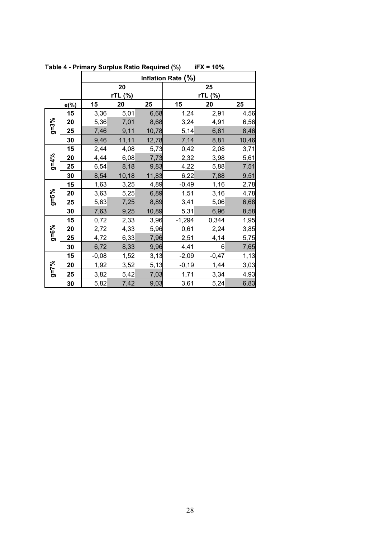|           |          | Inflation Rate (%) |            |       |          |         |       |  |  |  |
|-----------|----------|--------------------|------------|-------|----------|---------|-------|--|--|--|
|           |          |                    | ${\bf 20}$ |       | 25       |         |       |  |  |  |
|           |          |                    | rTL (%)    |       | rTL (%)  |         |       |  |  |  |
|           | $e(\% )$ | 15                 | 20         | 25    | 15       | 20      | 25    |  |  |  |
|           | 15       | 3,36               | 5,01       | 6,68  | 1,24     | 2,91    | 4,56  |  |  |  |
|           | 20       | 5,36               | 7,01       | 8,68  | 3,24     | 4,91    | 6,56  |  |  |  |
| $g=3%$    | 25       | 7,46               | 9,11       | 10,78 | 5,14     | 6,81    | 8,46  |  |  |  |
|           | 30       | 9,46               | 11, 11     | 12,78 | 7,14     | 8,81    | 10,46 |  |  |  |
|           | 15       | 2,44               | 4,08       | 5,73  | 0,42     | 2,08    | 3,71  |  |  |  |
| $9 = 4%$  | 20       | 4,44               | 6,08       | 7,73  | 2,32     | 3,98    | 5,61  |  |  |  |
|           | 25       | 6,54               | 8,18       | 9,83  | 4,22     | 5,88    | 7,51  |  |  |  |
|           | 30       | 8,54               | 10, 18     | 11,83 | 6,22     | 7,88    | 9,51  |  |  |  |
|           | 15       | 1,63               | 3,25       | 4,89  | $-0,49$  | 1,16    | 2,78  |  |  |  |
|           | 20       | 3,63               | 5,25       | 6,89  | 1,51     | 3,16    | 4,78  |  |  |  |
| $9 = 5\%$ | 25       | 5,63               | 7,25       | 8,89  | 3,41     | 5,06    | 6,68  |  |  |  |
|           | 30       | 7,63               | 9,25       | 10,89 | 5,31     | 6,96    | 8,58  |  |  |  |
|           | 15       | 0,72               | 2,33       | 3,96  | $-1,294$ | 0,344   | 1,95  |  |  |  |
| $a = 6\%$ | 20       | 2,72               | 4,33       | 5,96  | 0,61     | 2,24    | 3,85  |  |  |  |
|           | 25       | 4,72               | 6,33       | 7,96  | 2,51     | 4,14    | 5,75  |  |  |  |
|           | 30       | 6,72               | 8,33       | 9,96  | 4,41     | 6       | 7,65  |  |  |  |
|           | 15       | $-0,08$            | 1,52       | 3,13  | $-2,09$  | $-0,47$ | 1,13  |  |  |  |
|           | 20       | 1,92               | 3,52       | 5,13  | $-0, 19$ | 1,44    | 3,03  |  |  |  |
| $9 = 7\%$ | 25       | 3,82               | 5,42       | 7,03  | 1,71     | 3,34    | 4,93  |  |  |  |
|           | 30       | 5,82               | 7,42       | 9,03  | 3,61     | 5,24    | 6,83  |  |  |  |

**Table 4 - Primary Surplus Ratio Required (%) iFX = 10%**